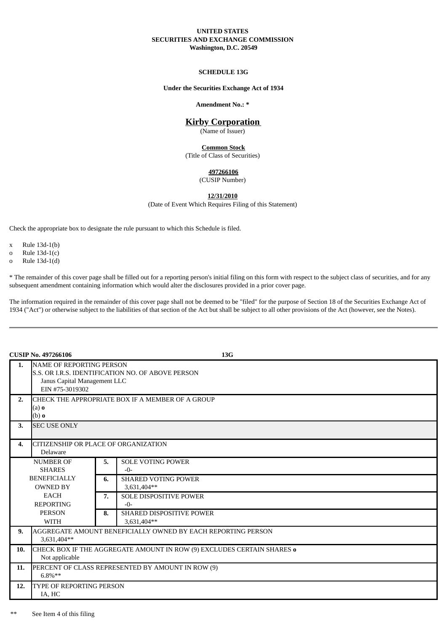## **UNITED STATES SECURITIES AND EXCHANGE COMMISSION Washington, D.C. 20549**

## **SCHEDULE 13G**

#### **Under the Securities Exchange Act of 1934**

#### **Amendment No.: \***

# **Kirby Corporation**

(Name of Issuer)

**Common Stock** (Title of Class of Securities)

## **497266106**

(CUSIP Number)

**12/31/2010**

(Date of Event Which Requires Filing of this Statement)

Check the appropriate box to designate the rule pursuant to which this Schedule is filed.

- x Rule 13d-1(b)
- o Rule 13d-1(c)
- o Rule 13d-1(d)

\* The remainder of this cover page shall be filled out for a reporting person's initial filing on this form with respect to the subject class of securities, and for any subsequent amendment containing information which would alter the disclosures provided in a prior cover page.

The information required in the remainder of this cover page shall not be deemed to be "filed" for the purpose of Section 18 of the Securities Exchange Act of 1934 ("Act") or otherwise subject to the liabilities of that section of the Act but shall be subject to all other provisions of the Act (however, see the Notes).

| <b>CUSIP No. 497266106</b> |                                                                                                                                         |    | 13G                                            |  |
|----------------------------|-----------------------------------------------------------------------------------------------------------------------------------------|----|------------------------------------------------|--|
| 1.                         | <b>NAME OF REPORTING PERSON</b><br>S.S. OR I.R.S. IDENTIFICATION NO. OF ABOVE PERSON<br>Janus Capital Management LLC<br>EIN #75-3019302 |    |                                                |  |
| 2.                         | CHECK THE APPROPRIATE BOX IF A MEMBER OF A GROUP<br>$(a)$ o<br>$(b)$ o                                                                  |    |                                                |  |
| 3.                         | <b>SEC USE ONLY</b>                                                                                                                     |    |                                                |  |
| 4.                         | <b>CITIZENSHIP OR PLACE OF ORGANIZATION</b><br>Delaware                                                                                 |    |                                                |  |
|                            | <b>NUMBER OF</b><br><b>SHARES</b>                                                                                                       | 5. | <b>SOLE VOTING POWER</b><br>$-0-$              |  |
|                            | <b>BENEFICIALLY</b><br><b>OWNED BY</b>                                                                                                  | 6. | <b>SHARED VOTING POWER</b><br>3,631,404**      |  |
|                            | <b>EACH</b><br><b>REPORTING</b>                                                                                                         | 7. | <b>SOLE DISPOSITIVE POWER</b><br>$-0-$         |  |
|                            | <b>PERSON</b><br><b>WITH</b>                                                                                                            | 8. | <b>SHARED DISPOSITIVE POWER</b><br>3,631,404** |  |
| 9.                         | AGGREGATE AMOUNT BENEFICIALLY OWNED BY EACH REPORTING PERSON<br>3,631,404**                                                             |    |                                                |  |
| 10.                        | CHECK BOX IF THE AGGREGATE AMOUNT IN ROW (9) EXCLUDES CERTAIN SHARES o<br>Not applicable                                                |    |                                                |  |
| 11.                        | PERCENT OF CLASS REPRESENTED BY AMOUNT IN ROW (9)<br>$6.8\%**$                                                                          |    |                                                |  |
| 12.                        | <b>TYPE OF REPORTING PERSON</b><br>IA, HC                                                                                               |    |                                                |  |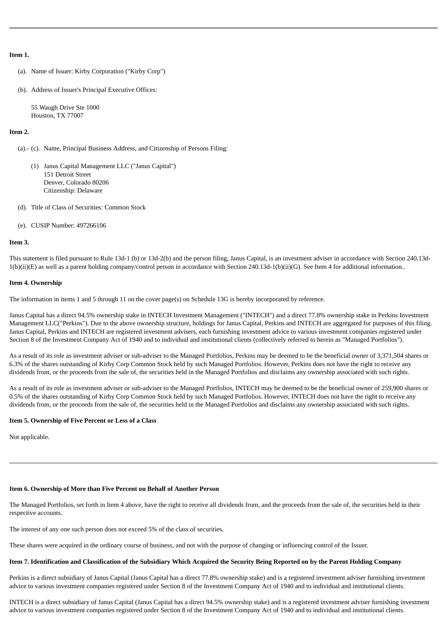### **Item 1.**

- (a). Name of Issuer: Kirby Corporation ("Kirby Corp")
- (b). Address of Issuer's Principal Executive Offices:

55 Waugh Drive Ste 1000 Houston, TX 77007

## **Item 2.**

- (a).- (c). Name, Principal Business Address, and Citizenship of Persons Filing:
	- (1) Janus Capital Management LLC ("Janus Capital") 151 Detroit Street Denver, Colorado 80206 Citizenship: Delaware
- (d). Title of Class of Securities: Common Stock
- (e). CUSIP Number: 497266106

#### **Item 3.**

This statement is filed pursuant to Rule 13d-1 (b) or 13d-2(b) and the person filing, Janus Capital, is an investment adviser in accordance with Section 240.13d-1(b)(ii)(E) as well as a parent holding company/control person in accordance with Section 240.13d-1(b)(ii)(G). See Item 4 for additional information..

#### **Item 4. Ownership**

The information in items 1 and 5 through 11 on the cover page(s) on Schedule 13G is hereby incorporated by reference.

Janus Capital has a direct 94.5% ownership stake in INTECH Investment Management ("INTECH") and a direct 77.8% ownership stake in Perkins Investment Management LLC("Perkins"). Due to the above ownership structure, holdings for Janus Capital, Perkins and INTECH are aggregated for purposes of this filing. Janus Capital, Perkins and INTECH are registered investment advisers, each furnishing investment advice to various investment companies registered under Section 8 of the Investment Company Act of 1940 and to individual and institutional clients (collectively referred to herein as "Managed Portfolios").

As a result of its role as investment adviser or sub-adviser to the Managed Portfolios, Perkins may be deemed to be the beneficial owner of 3,371,504 shares or 6.3% of the shares outstanding of Kirby Corp Common Stock held by such Managed Portfolios. However, Perkins does not have the right to receive any dividends from, or the proceeds from the sale of, the securities held in the Managed Portfolios and disclaims any ownership associated with such rights.

As a result of its role as investment adviser or sub-adviser to the Managed Portfolios, INTECH may be deemed to be the beneficial owner of 259,900 shares or 0.5% of the shares outstanding of Kirby Corp Common Stock held by such Managed Portfolios. However, INTECH does not have the right to receive any dividends from, or the proceeds from the sale of, the securities held in the Managed Portfolios and disclaims any ownership associated with such rights.

#### **Item 5. Ownership of Five Percent or Less of a Class**

Not applicable.

# **Item 6. Ownership of More than Five Percent on Behalf of Another Person**

The Managed Portfolios, set forth in Item 4 above, have the right to receive all dividends from, and the proceeds from the sale of, the securities held in their respective accounts.

The interest of any one such person does not exceed 5% of the class of securities.

These shares were acquired in the ordinary course of business, and not with the purpose of changing or influencing control of the Issuer.

# **Item 7. Identification and Classification of the Subsidiary Which Acquired the Security Being Reported on by the Parent Holding Company**

Perkins is a direct subsidiary of Janus Capital (Janus Capital has a direct 77.8% ownership stake) and is a registered investment adviser furnishing investment advice to various investment companies registered under Section 8 of the Investment Company Act of 1940 and to individual and institutional clients.

INTECH is a direct subsidiary of Janus Capital (Janus Capital has a direct 94.5% ownership stake) and is a registered investment adviser furnishing investment advice to various investment companies registered under Section 8 of the Investment Company Act of 1940 and to individual and institutional clients.